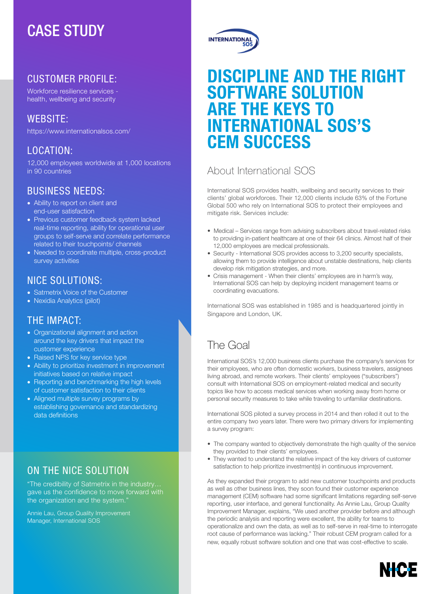# CASE STUDY

## CUSTOMER PROFILE:

Workforce resilience services health, wellbeing and security

## WEBSITE:

https://www.internationalsos.com/

## LOCATION:

12,000 employees worldwide at 1,000 locations in 90 countries

## BUSINESS NEEDS:

- Ability to report on client and end-user satisfaction
- Previous customer feedback system lacked real-time reporting, ability for operational user groups to self-serve and correlate performance related to their touchpoints/ channels
- Needed to coordinate multiple, cross-product survey activities

## NICE SOLUTIONS:

- Satmetrix Voice of the Customer
- Nexidia Analytics (pilot)

### THE IMPACT:

- Organizational alignment and action around the key drivers that impact the customer experience
- Raised NPS for key service type
- Ability to prioritize investment in improvement initiatives based on relative impact
- Reporting and benchmarking the high levels of customer satisfaction to their clients
- Aligned multiple survey programs by establishing governance and standardizing data definitions

# ON THE NICE SOLUTION

"The credibility of Satmetrix in the industry… gave us the confidence to move forward with the organization and the system."

Annie Lau, Group Quality Improvement Manager, International SOS



# DISCIPLINE AND THE RIGHT SOFTWARE SOLUTION ARE THE KEYS TO INTERNATIONAL SOS'S CEM SUCCESS

# About International SOS

International SOS provides health, wellbeing and security services to their clients' global workforces. Their 12,000 clients include 63% of the Fortune Global 500 who rely on International SOS to protect their employees and mitigate risk. Services include:

- Medical Services range from advising subscribers about travel-related risks to providing in-patient healthcare at one of their 64 clinics. Almost half of their 12,000 employees are medical professionals.
- Security International SOS provides access to 3,200 security specialists, allowing them to provide intelligence about unstable destinations, help clients develop risk mitigation strategies, and more.
- Crisis management When their clients' employees are in harm's way, International SOS can help by deploying incident management teams or coordinating evacuations.

International SOS was established in 1985 and is headquartered jointly in Singapore and London, UK.

# The Goal

International SOS's 12,000 business clients purchase the company's services for their employees, who are often domestic workers, business travelers, assignees living abroad, and remote workers. Their clients' employees ("subscribers") consult with International SOS on employment-related medical and security topics like how to access medical services when working away from home or personal security measures to take while traveling to unfamiliar destinations.

International SOS piloted a survey process in 2014 and then rolled it out to the entire company two years later. There were two primary drivers for implementing a survey program:

- The company wanted to objectively demonstrate the high quality of the service they provided to their clients' employees.
- They wanted to understand the relative impact of the key drivers of customer satisfaction to help prioritize investment(s) in continuous improvement.

As they expanded their program to add new customer touchpoints and products as well as other business lines, they soon found their customer experience management (CEM) software had some significant limitations regarding self-serve reporting, user interface, and general functionality. As Annie Lau, Group Quality Improvement Manager, explains, "We used another provider before and although the periodic analysis and reporting were excellent, the ability for teams to operationalize and own the data, as well as to self-serve in real-time to interrogate root cause of performance was lacking." Their robust CEM program called for a new, equally robust software solution and one that was cost-effective to scale.